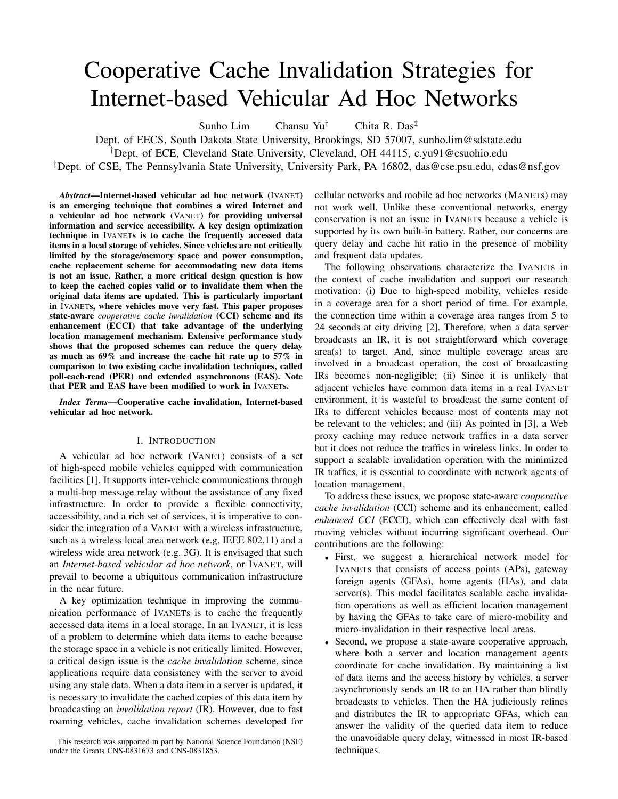# Cooperative Cache Invalidation Strategies for Internet-based Vehicular Ad Hoc Networks

Sunho Lim Chansu Yu*†* Chita R. Das*‡*

Dept. of EECS, South Dakota State University, Brookings, SD 57007, sunho.lim@sdstate.edu

*†*Dept. of ECE, Cleveland State University, Cleveland, OH 44115, c.yu91@csuohio.edu

*‡*Dept. of CSE, The Pennsylvania State University, University Park, PA 16802, das@cse.psu.edu, cdas@nsf.gov

*Abstract***—Internet-based vehicular ad hoc network (**IVANET**) is an emerging technique that combines a wired Internet and a vehicular ad hoc network (**VANET**) for providing universal information and service accessibility. A key design optimization technique in** IVANET**s is to cache the frequently accessed data items in a local storage of vehicles. Since vehicles are not critically limited by the storage/memory space and power consumption, cache replacement scheme for accommodating new data items is not an issue. Rather, a more critical design question is how to keep the cached copies valid or to invalidate them when the original data items are updated. This is particularly important in** IVANET**s, where vehicles move very fast. This paper proposes state-aware** *cooperative cache invalidation* **(CCI) scheme and its enhancement (ECCI) that take advantage of the underlying location management mechanism. Extensive performance study shows that the proposed schemes can reduce the query delay as much as 69% and increase the cache hit rate up to 57% in comparison to two existing cache invalidation techniques, called poll-each-read (PER) and extended asynchronous (EAS). Note that PER and EAS have been modified to work in** IVANET**s.**

*Index Terms***—Cooperative cache invalidation, Internet-based vehicular ad hoc network.**

# I. INTRODUCTION

A vehicular ad hoc network (VANET) consists of a set of high-speed mobile vehicles equipped with communication facilities [1]. It supports inter-vehicle communications through a multi-hop message relay without the assistance of any fixed infrastructure. In order to provide a flexible connectivity, accessibility, and a rich set of services, it is imperative to consider the integration of a VANET with a wireless infrastructure, such as a wireless local area network (e.g. IEEE 802.11) and a wireless wide area network (e.g. 3G). It is envisaged that such an *Internet-based vehicular ad hoc network*, or IVANET, will prevail to become a ubiquitous communication infrastructure in the near future.

A key optimization technique in improving the communication performance of IVANETs is to cache the frequently accessed data items in a local storage. In an IVANET, it is less of a problem to determine which data items to cache because the storage space in a vehicle is not critically limited. However, a critical design issue is the *cache invalidation* scheme, since applications require data consistency with the server to avoid using any stale data. When a data item in a server is updated, it is necessary to invalidate the cached copies of this data item by broadcasting an *invalidation report* (IR). However, due to fast roaming vehicles, cache invalidation schemes developed for

This research was supported in part by National Science Foundation (NSF) under the Grants CNS-0831673 and CNS-0831853.

cellular networks and mobile ad hoc networks (MANETs) may not work well. Unlike these conventional networks, energy conservation is not an issue in IVANETs because a vehicle is supported by its own built-in battery. Rather, our concerns are query delay and cache hit ratio in the presence of mobility and frequent data updates.

The following observations characterize the IVANETs in the context of cache invalidation and support our research motivation: (i) Due to high-speed mobility, vehicles reside in a coverage area for a short period of time. For example, the connection time within a coverage area ranges from 5 to 24 seconds at city driving [2]. Therefore, when a data server broadcasts an IR, it is not straightforward which coverage area(s) to target. And, since multiple coverage areas are involved in a broadcast operation, the cost of broadcasting IRs becomes non-negligible; (ii) Since it is unlikely that adjacent vehicles have common data items in a real IVANET environment, it is wasteful to broadcast the same content of IRs to different vehicles because most of contents may not be relevant to the vehicles; and (iii) As pointed in [3], a Web proxy caching may reduce network traffics in a data server but it does not reduce the traffics in wireless links. In order to support a scalable invalidation operation with the minimized IR traffics, it is essential to coordinate with network agents of location management.

To address these issues, we propose state-aware *cooperative cache invalidation* (CCI) scheme and its enhancement, called *enhanced CCI* (ECCI), which can effectively deal with fast moving vehicles without incurring significant overhead. Our contributions are the following:

- First, we suggest a hierarchical network model for IVANETs that consists of access points (APs), gateway foreign agents (GFAs), home agents (HAs), and data server(s). This model facilitates scalable cache invalidation operations as well as efficient location management by having the GFAs to take care of micro-mobility and micro-invalidation in their respective local areas.
- *•* Second, we propose a state-aware cooperative approach, where both a server and location management agents coordinate for cache invalidation. By maintaining a list of data items and the access history by vehicles, a server asynchronously sends an IR to an HA rather than blindly broadcasts to vehicles. Then the HA judiciously refines and distributes the IR to appropriate GFAs, which can answer the validity of the queried data item to reduce the unavoidable query delay, witnessed in most IR-based techniques.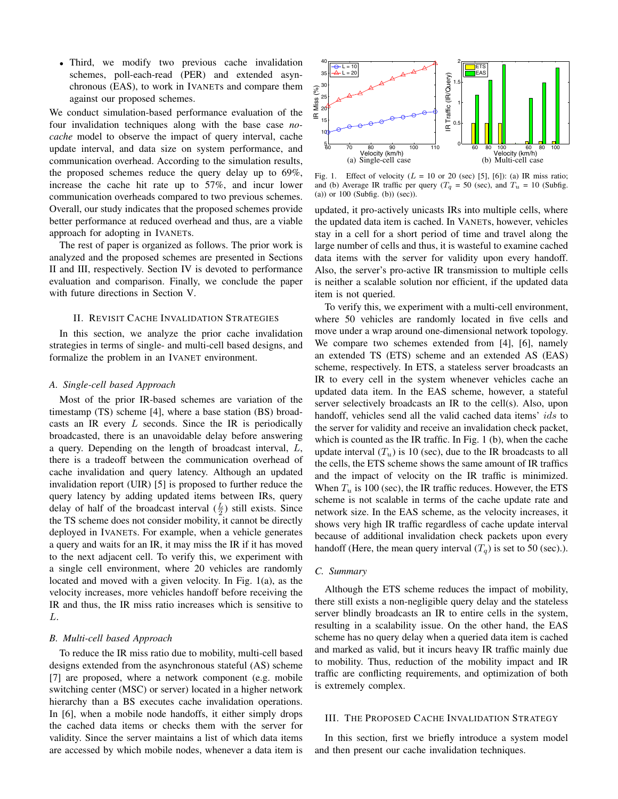• Third, we modify two previous cache invalidation schemes, poll-each-read (PER) and extended asynchronous (EAS), to work in IVANETs and compare them against our proposed schemes.

We conduct simulation-based performance evaluation of the four invalidation techniques along with the base case *nocache* model to observe the impact of query interval, cache update interval, and data size on system performance, and communication overhead. According to the simulation results, the proposed schemes reduce the query delay up to 69%, increase the cache hit rate up to 57%, and incur lower communication overheads compared to two previous schemes. Overall, our study indicates that the proposed schemes provide better performance at reduced overhead and thus, are a viable approach for adopting in IVANETs.

The rest of paper is organized as follows. The prior work is analyzed and the proposed schemes are presented in Sections II and III, respectively. Section IV is devoted to performance evaluation and comparison. Finally, we conclude the paper with future directions in Section V.

# II. REVISIT CACHE INVALIDATION STRATEGIES

In this section, we analyze the prior cache invalidation strategies in terms of single- and multi-cell based designs, and formalize the problem in an IVANET environment.

### *A. Single-cell based Approach*

Most of the prior IR-based schemes are variation of the timestamp (TS) scheme [4], where a base station (BS) broadcasts an IR every  $L$  seconds. Since the IR is periodically broadcasted, there is an unavoidable delay before answering a query. Depending on the length of broadcast interval, L, there is a tradeoff between the communication overhead of cache invalidation and query latency. Although an updated invalidation report (UIR) [5] is proposed to further reduce the query latency by adding updated items between IRs, query delay of half of the broadcast interval  $(\frac{L}{2})$  still exists. Since the TS scheme does not consider mobility, it cannot be directly deployed in IVANETs. For example, when a vehicle generates a query and waits for an IR, it may miss the IR if it has moved to the next adjacent cell. To verify this, we experiment with a single cell environment, where 20 vehicles are randomly located and moved with a given velocity. In Fig. 1(a), as the velocity increases, more vehicles handoff before receiving the IR and thus, the IR miss ratio increases which is sensitive to L.

## *B. Multi-cell based Approach*

To reduce the IR miss ratio due to mobility, multi-cell based designs extended from the asynchronous stateful (AS) scheme [7] are proposed, where a network component (e.g. mobile switching center (MSC) or server) located in a higher network hierarchy than a BS executes cache invalidation operations. In [6], when a mobile node handoffs, it either simply drops the cached data items or checks them with the server for validity. Since the server maintains a list of which data items are accessed by which mobile nodes, whenever a data item is



Fig. 1. Effect of velocity  $(L = 10 \text{ or } 20 \text{ (sec)} [5]$ , [6]): (a) IR miss ratio; and (b) Average IR traffic per query ( $T_q$  = 50 (sec), and  $T_u$  = 10 (Subfig. (a)) or 100 (Subfig. (b)) (sec)).

updated, it pro-actively unicasts IRs into multiple cells, where the updated data item is cached. In VANETs, however, vehicles stay in a cell for a short period of time and travel along the large number of cells and thus, it is wasteful to examine cached data items with the server for validity upon every handoff. Also, the server's pro-active IR transmission to multiple cells is neither a scalable solution nor efficient, if the updated data item is not queried.

To verify this, we experiment with a multi-cell environment, where 50 vehicles are randomly located in five cells and move under a wrap around one-dimensional network topology. We compare two schemes extended from [4], [6], namely an extended TS (ETS) scheme and an extended AS (EAS) scheme, respectively. In ETS, a stateless server broadcasts an IR to every cell in the system whenever vehicles cache an updated data item. In the EAS scheme, however, a stateful server selectively broadcasts an IR to the cell(s). Also, upon handoff, vehicles send all the valid cached data items' ids to the server for validity and receive an invalidation check packet, which is counted as the IR traffic. In Fig. 1 (b), when the cache update interval  $(T_u)$  is 10 (sec), due to the IR broadcasts to all the cells, the ETS scheme shows the same amount of IR traffics and the impact of velocity on the IR traffic is minimized. When  $T_u$  is 100 (sec), the IR traffic reduces. However, the ETS scheme is not scalable in terms of the cache update rate and network size. In the EAS scheme, as the velocity increases, it shows very high IR traffic regardless of cache update interval because of additional invalidation check packets upon every handoff (Here, the mean query interval  $(T_q)$  is set to 50 (sec).).

# *C. Summary*

Although the ETS scheme reduces the impact of mobility, there still exists a non-negligible query delay and the stateless server blindly broadcasts an IR to entire cells in the system, resulting in a scalability issue. On the other hand, the EAS scheme has no query delay when a queried data item is cached and marked as valid, but it incurs heavy IR traffic mainly due to mobility. Thus, reduction of the mobility impact and IR traffic are conflicting requirements, and optimization of both is extremely complex.

# III. THE PROPOSED CACHE INVALIDATION STRATEGY

In this section, first we briefly introduce a system model and then present our cache invalidation techniques.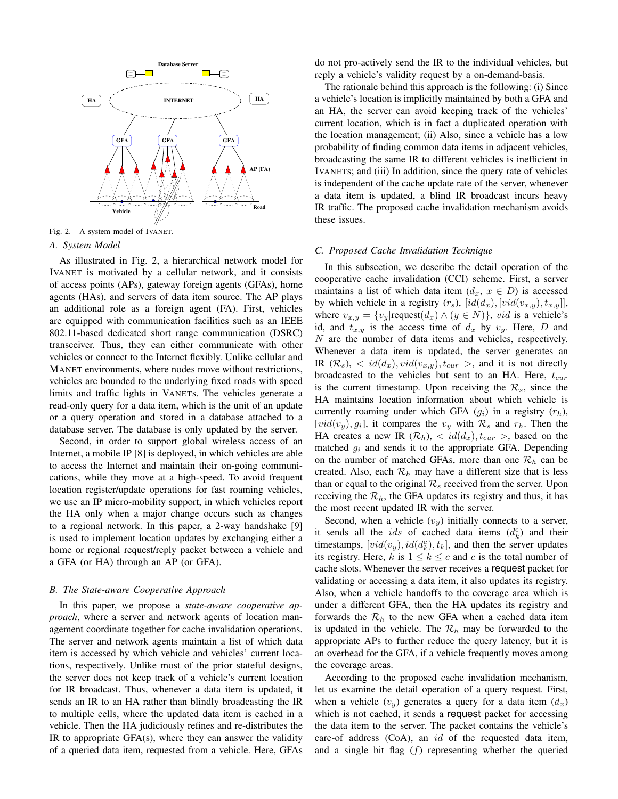

Fig. 2. A system model of IVANET.

# *A. System Model*

As illustrated in Fig. 2, a hierarchical network model for IVANET is motivated by a cellular network, and it consists of access points (APs), gateway foreign agents (GFAs), home agents (HAs), and servers of data item source. The AP plays an additional role as a foreign agent (FA). First, vehicles are equipped with communication facilities such as an IEEE 802.11-based dedicated short range communication (DSRC) transceiver. Thus, they can either communicate with other vehicles or connect to the Internet flexibly. Unlike cellular and MANET environments, where nodes move without restrictions, vehicles are bounded to the underlying fixed roads with speed limits and traffic lights in VANETs. The vehicles generate a read-only query for a data item, which is the unit of an update or a query operation and stored in a database attached to a database server. The database is only updated by the server.

Second, in order to support global wireless access of an Internet, a mobile IP [8] is deployed, in which vehicles are able to access the Internet and maintain their on-going communications, while they move at a high-speed. To avoid frequent location register/update operations for fast roaming vehicles, we use an IP micro-mobility support, in which vehicles report the HA only when a major change occurs such as changes to a regional network. In this paper, a 2-way handshake [9] is used to implement location updates by exchanging either a home or regional request/reply packet between a vehicle and a GFA (or HA) through an AP (or GFA).

#### *B. The State-aware Cooperative Approach*

In this paper, we propose a *state-aware cooperative approach*, where a server and network agents of location management coordinate together for cache invalidation operations. The server and network agents maintain a list of which data item is accessed by which vehicle and vehicles' current locations, respectively. Unlike most of the prior stateful designs, the server does not keep track of a vehicle's current location for IR broadcast. Thus, whenever a data item is updated, it sends an IR to an HA rather than blindly broadcasting the IR to multiple cells, where the updated data item is cached in a vehicle. Then the HA judiciously refines and re-distributes the IR to appropriate  $GFA(s)$ , where they can answer the validity of a queried data item, requested from a vehicle. Here, GFAs

do not pro-actively send the IR to the individual vehicles, but reply a vehicle's validity request by a on-demand-basis.

The rationale behind this approach is the following: (i) Since a vehicle's location is implicitly maintained by both a GFA and an HA, the server can avoid keeping track of the vehicles' current location, which is in fact a duplicated operation with the location management; (ii) Also, since a vehicle has a low probability of finding common data items in adjacent vehicles, broadcasting the same IR to different vehicles is inefficient in IVANETs; and (iii) In addition, since the query rate of vehicles is independent of the cache update rate of the server, whenever a data item is updated, a blind IR broadcast incurs heavy IR traffic. The proposed cache invalidation mechanism avoids these issues.

# *C. Proposed Cache Invalidation Technique*

In this subsection, we describe the detail operation of the cooperative cache invalidation (CCI) scheme. First, a server maintains a list of which data item  $(d_x, x \in D)$  is accessed by which vehicle in a registry  $(r_s)$ ,  $(id(d_x), [vid(v_{x,y}), t_{x,y}]]$ , where  $v_{x,y} = \{v_y | \text{request}(d_x) \land (y \in N) \}, \text{vid is a vehicle's}$ id, and  $t_{x,y}$  is the access time of  $d_x$  by  $v_y$ . Here, D and N are the number of data items and vehicles, respectively. Whenever a data item is updated, the server generates an IR  $(\mathcal{R}_s)$ ,  $\langle id(d_x), vid(v_{x,y}), t_{cur} \rangle$ , and it is not directly broadcasted to the vehicles but sent to an HA. Here, t*cur* is the current timestamp. Upon receiving the  $\mathcal{R}_s$ , since the HA maintains location information about which vehicle is currently roaming under which GFA  $(g_i)$  in a registry  $(r_h)$ ,  $[vid(v_y), g_i]$ , it compares the  $v_y$  with  $\mathcal{R}_s$  and  $r_h$ . Then the HA creates a new IR  $(\mathcal{R}_h)$ ,  $\langle id(d_x), t_{cur} \rangle$ , based on the matched g*<sup>i</sup>* and sends it to the appropriate GFA. Depending on the number of matched GFAs, more than one  $\mathcal{R}_h$  can be created. Also, each  $\mathcal{R}_h$  may have a different size that is less than or equal to the original  $\mathcal{R}_s$  received from the server. Upon receiving the  $\mathcal{R}_h$ , the GFA updates its registry and thus, it has the most recent updated IR with the server.

Second, when a vehicle  $(v_y)$  initially connects to a server, it sends all the *ids* of cached data items  $(d_k^c)$  and their timestamps,  $[vid(v_y), id(d_k^c), t_k]$ , and then the server updates its registry. Here, k is  $1 \leq k \leq c$  and c is the total number of cache slots. Whenever the server receives a request packet for validating or accessing a data item, it also updates its registry. Also, when a vehicle handoffs to the coverage area which is under a different GFA, then the HA updates its registry and forwards the  $\mathcal{R}_h$  to the new GFA when a cached data item is updated in the vehicle. The  $\mathcal{R}_h$  may be forwarded to the appropriate APs to further reduce the query latency, but it is an overhead for the GFA, if a vehicle frequently moves among the coverage areas.

According to the proposed cache invalidation mechanism, let us examine the detail operation of a query request. First, when a vehicle  $(v_y)$  generates a query for a data item  $(d_x)$ which is not cached, it sends a request packet for accessing the data item to the server. The packet contains the vehicle's care-of address (CoA), an id of the requested data item, and a single bit flag  $(f)$  representing whether the queried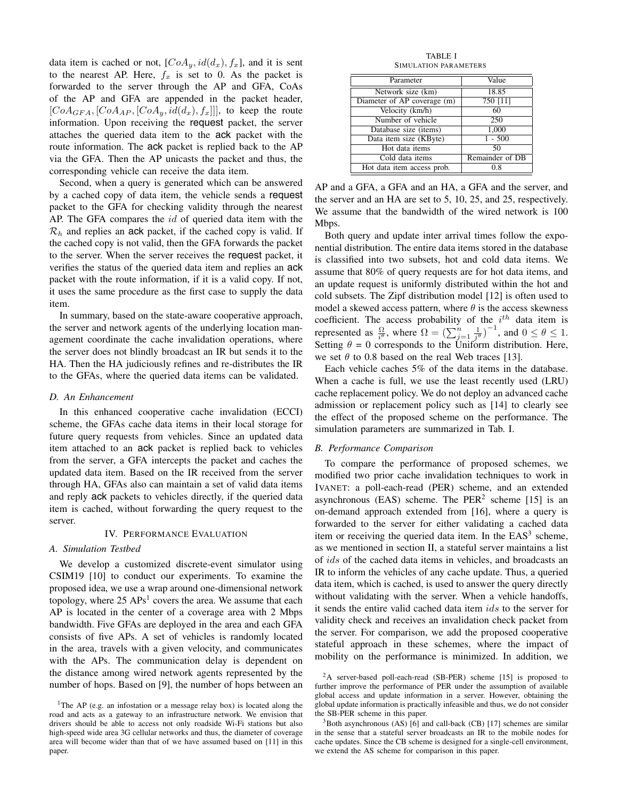data item is cached or not,  $[CoA<sub>y</sub>, id(d<sub>x</sub>), f<sub>x</sub>]$ , and it is sent to the nearest AP. Here,  $f_x$  is set to 0. As the packet is forwarded to the server through the AP and GFA, CoAs of the AP and GFA are appended in the packet header,  $[CoA_{GFA}, [CoA_{AP}, [CoA_y, id(d_x), f_x]]]$ , to keep the route information. Upon receiving the request packet, the server attaches the queried data item to the ack packet with the route information. The ack packet is replied back to the AP via the GFA. Then the AP unicasts the packet and thus, the corresponding vehicle can receive the data item.

Second, when a query is generated which can be answered by a cached copy of data item, the vehicle sends a request packet to the GFA for checking validity through the nearest AP. The GFA compares the *id* of queried data item with the  $\mathcal{R}_h$  and replies an ack packet, if the cached copy is valid. If the cached copy is not valid, then the GFA forwards the packet to the server. When the server receives the request packet, it verifies the status of the queried data item and replies an ack packet with the route information, if it is a valid copy. If not, it uses the same procedure as the first case to supply the data item.

In summary, based on the state-aware cooperative approach, the server and network agents of the underlying location management coordinate the cache invalidation operations, where the server does not blindly broadcast an IR but sends it to the HA. Then the HA judiciously refines and re-distributes the IR to the GFAs, where the queried data items can be validated.

### *D. An Enhancement*

In this enhanced cooperative cache invalidation (ECCI) scheme, the GFAs cache data items in their local storage for future query requests from vehicles. Since an updated data item attached to an ack packet is replied back to vehicles from the server, a GFA intercepts the packet and caches the updated data item. Based on the IR received from the server through HA, GFAs also can maintain a set of valid data items and reply ack packets to vehicles directly, if the queried data item is cached, without forwarding the query request to the server.

### IV. PERFORMANCE EVALUATION

# *A. Simulation Testbed*

We develop a customized discrete-event simulator using CSIM19 [10] to conduct our experiments. To examine the proposed idea, we use a wrap around one-dimensional network topology, where  $25 \text{ APs}^1$  covers the area. We assume that each AP is located in the center of a coverage area with 2 Mbps bandwidth. Five GFAs are deployed in the area and each GFA consists of five APs. A set of vehicles is randomly located in the area, travels with a given velocity, and communicates with the APs. The communication delay is dependent on the distance among wired network agents represented by the number of hops. Based on [9], the number of hops between an

TABLE I SIMULATION PARAMETERS

| Parameter                   | Value           |
|-----------------------------|-----------------|
| Network size (km)           | 18.85           |
| Diameter of AP coverage (m) | 750 [11]        |
| Velocity (km/h)             | 60              |
| Number of vehicle           | 250             |
| Database size (items)       | 1,000           |
| Data item size (KByte)      | $1 - 500$       |
| Hot data items              | 50              |
| Cold data items             | Remainder of DB |
| Hot data item access prob.  | 0.8             |

AP and a GFA, a GFA and an HA, a GFA and the server, and the server and an HA are set to 5, 10, 25, and 25, respectively. We assume that the bandwidth of the wired network is 100 Mbps.

Both query and update inter arrival times follow the exponential distribution. The entire data items stored in the database is classified into two subsets, hot and cold data items. We assume that 80% of query requests are for hot data items, and an update request is uniformly distributed within the hot and cold subsets. The Zipf distribution model [12] is often used to model a skewed access pattern, where  $\theta$  is the access skewness coefficient. The access probability of the  $i^{th}$  data item is represented as  $\frac{\Omega}{i^{\theta}}$ , where  $\Omega = \left(\sum_{j=1}^{n} \frac{1}{j^{\theta}}\right)^{-1}$ , and  $0 \le \theta \le 1$ . Setting  $\theta = 0$  corresponds to the Uniform distribution. Here, we set  $\theta$  to 0.8 based on the real Web traces [13].

Each vehicle caches 5% of the data items in the database. When a cache is full, we use the least recently used (LRU) cache replacement policy. We do not deploy an advanced cache admission or replacement policy such as [14] to clearly see the effect of the proposed scheme on the performance. The simulation parameters are summarized in Tab. I.

## *B. Performance Comparison*

To compare the performance of proposed schemes, we modified two prior cache invalidation techniques to work in IVANET: a poll-each-read (PER) scheme, and an extended asynchronous (EAS) scheme. The  $PER<sup>2</sup>$  scheme [15] is an on-demand approach extended from [16], where a query is forwarded to the server for either validating a cached data item or receiving the queried data item. In the  $EAS<sup>3</sup>$  scheme, as we mentioned in section II, a stateful server maintains a list of *ids* of the cached data items in vehicles, and broadcasts an IR to inform the vehicles of any cache update. Thus, a queried data item, which is cached, is used to answer the query directly without validating with the server. When a vehicle handoffs, it sends the entire valid cached data item ids to the server for validity check and receives an invalidation check packet from the server. For comparison, we add the proposed cooperative stateful approach in these schemes, where the impact of mobility on the performance is minimized. In addition, we

<sup>&</sup>lt;sup>1</sup>The AP (e.g. an infostation or a message relay box) is located along the road and acts as a gateway to an infrastructure network. We envision that drivers should be able to access not only roadside Wi-Fi stations but also high-speed wide area 3G cellular networks and thus, the diameter of coverage area will become wider than that of we have assumed based on [11] in this paper.

<sup>&</sup>lt;sup>2</sup>A server-based poll-each-read (SB-PER) scheme [15] is proposed to further improve the performance of PER under the assumption of available global access and update information in a server. However, obtaining the global update information is practically infeasible and thus, we do not consider the SB-PER scheme in this paper.

<sup>3</sup>Both asynchronous (AS) [6] and call-back (CB) [17] schemes are similar in the sense that a stateful server broadcasts an IR to the mobile nodes for cache updates. Since the CB scheme is designed for a single-cell environment, we extend the AS scheme for comparison in this paper.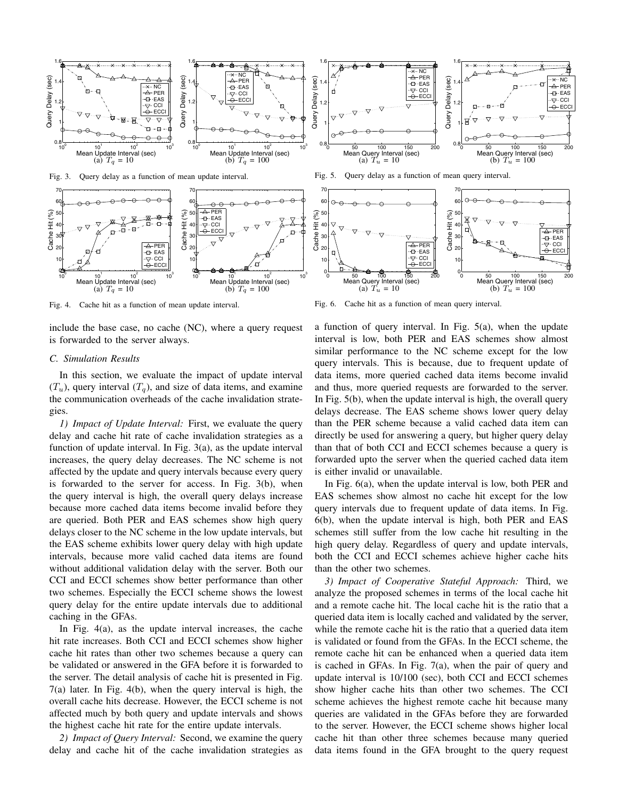

(b)  $T_q = 100$ 

Fig. 4. Cache hit as a function of mean update interval.

include the base case, no cache (NC), where a query request is forwarded to the server always.

#### *C. Simulation Results*

(a)  $T_q = 10$ 

In this section, we evaluate the impact of update interval  $(T_u)$ , query interval  $(T_q)$ , and size of data items, and examine the communication overheads of the cache invalidation strategies.

*1) Impact of Update Interval:* First, we evaluate the query delay and cache hit rate of cache invalidation strategies as a function of update interval. In Fig. 3(a), as the update interval increases, the query delay decreases. The NC scheme is not affected by the update and query intervals because every query is forwarded to the server for access. In Fig. 3(b), when the query interval is high, the overall query delays increase because more cached data items become invalid before they are queried. Both PER and EAS schemes show high query delays closer to the NC scheme in the low update intervals, but the EAS scheme exhibits lower query delay with high update intervals, because more valid cached data items are found without additional validation delay with the server. Both our CCI and ECCI schemes show better performance than other two schemes. Especially the ECCI scheme shows the lowest query delay for the entire update intervals due to additional caching in the GFAs.

In Fig. 4(a), as the update interval increases, the cache hit rate increases. Both CCI and ECCI schemes show higher cache hit rates than other two schemes because a query can be validated or answered in the GFA before it is forwarded to the server. The detail analysis of cache hit is presented in Fig. 7(a) later. In Fig. 4(b), when the query interval is high, the overall cache hits decrease. However, the ECCI scheme is not affected much by both query and update intervals and shows the highest cache hit rate for the entire update intervals.

*2) Impact of Query Interval:* Second, we examine the query delay and cache hit of the cache invalidation strategies as



Fig. 5. Query delay as a function of mean query interval.



Fig. 6. Cache hit as a function of mean query interval.

a function of query interval. In Fig. 5(a), when the update interval is low, both PER and EAS schemes show almost similar performance to the NC scheme except for the low query intervals. This is because, due to frequent update of data items, more queried cached data items become invalid and thus, more queried requests are forwarded to the server. In Fig. 5(b), when the update interval is high, the overall query delays decrease. The EAS scheme shows lower query delay than the PER scheme because a valid cached data item can directly be used for answering a query, but higher query delay than that of both CCI and ECCI schemes because a query is forwarded upto the server when the queried cached data item is either invalid or unavailable.

In Fig. 6(a), when the update interval is low, both PER and EAS schemes show almost no cache hit except for the low query intervals due to frequent update of data items. In Fig. 6(b), when the update interval is high, both PER and EAS schemes still suffer from the low cache hit resulting in the high query delay. Regardless of query and update intervals, both the CCI and ECCI schemes achieve higher cache hits than the other two schemes.

*3) Impact of Cooperative Stateful Approach:* Third, we analyze the proposed schemes in terms of the local cache hit and a remote cache hit. The local cache hit is the ratio that a queried data item is locally cached and validated by the server, while the remote cache hit is the ratio that a queried data item is validated or found from the GFAs. In the ECCI scheme, the remote cache hit can be enhanced when a queried data item is cached in GFAs. In Fig. 7(a), when the pair of query and update interval is 10/100 (sec), both CCI and ECCI schemes show higher cache hits than other two schemes. The CCI scheme achieves the highest remote cache hit because many queries are validated in the GFAs before they are forwarded to the server. However, the ECCI scheme shows higher local cache hit than other three schemes because many queried data items found in the GFA brought to the query request